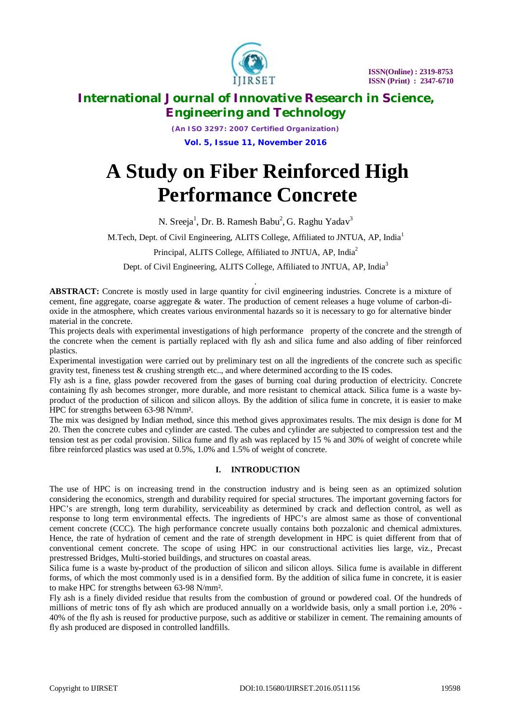

*(An ISO 3297: 2007 Certified Organization)* **Vol. 5, Issue 11, November 2016**

# **A Study on Fiber Reinforced High Performance Concrete**

N. Sreeja $^1$ , Dr. B. Ramesh Babu $^2$ , G. Raghu Yadav $^3$ 

M.Tech, Dept. of Civil Engineering, ALITS College, Affiliated to JNTUA, AP, India<sup>1</sup>

Principal, ALITS College, Affiliated to JNTUA, AP, India<sup>2</sup>

Dept. of Civil Engineering, ALITS College, Affiliated to JNTUA, AP, India<sup>3</sup>

*.* **ABSTRACT:** Concrete is mostly used in large quantity for civil engineering industries. Concrete is a mixture of cement, fine aggregate, coarse aggregate & water. The production of cement releases a huge volume of carbon-dioxide in the atmosphere, which creates various environmental hazards so it is necessary to go for alternative binder material in the concrete.

This projects deals with experimental investigations of high performance property of the concrete and the strength of the concrete when the cement is partially replaced with fly ash and silica fume and also adding of fiber reinforced plastics.

Experimental investigation were carried out by preliminary test on all the ingredients of the concrete such as specific gravity test, fineness test & crushing strength etc.., and where determined according to the IS codes.

Fly ash is a fine, glass powder recovered from the gases of burning coal during production of electricity. Concrete containing fly ash becomes stronger, more durable, and more resistant to chemical attack. Silica fume is a waste byproduct of the production of silicon and silicon alloys. By the addition of silica fume in concrete, it is easier to make HPC for strengths between 63-98 N/mm².

The mix was designed by Indian method, since this method gives approximates results. The mix design is done for M 20. Then the concrete cubes and cylinder are casted. The cubes and cylinder are subjected to compression test and the tension test as per codal provision. Silica fume and fly ash was replaced by 15 % and 30% of weight of concrete while fibre reinforced plastics was used at 0.5%, 1.0% and 1.5% of weight of concrete.

# **I. INTRODUCTION**

The use of HPC is on increasing trend in the construction industry and is being seen as an optimized solution considering the economics, strength and durability required for special structures. The important governing factors for HPC's are strength, long term durability, serviceability as determined by crack and deflection control, as well as response to long term environmental effects. The ingredients of HPC's are almost same as those of conventional cement concrete (CCC). The high performance concrete usually contains both pozzalonic and chemical admixtures. Hence, the rate of hydration of cement and the rate of strength development in HPC is quiet different from that of conventional cement concrete. The scope of using HPC in our constructional activities lies large, viz., Precast prestressed Bridges, Multi-storied buildings, and structures on coastal areas.

Silica fume is a waste by-product of the production of silicon and silicon alloys. Silica fume is available in different forms, of which the most commonly used is in a densified form. By the addition of silica fume in concrete, it is easier to make HPC for strengths between 63-98 N/mm².

Fly ash is a finely divided residue that results from the combustion of ground or powdered coal. Of the hundreds of millions of metric tons of fly ash which are produced annually on a worldwide basis, only a small portion i.e, 20% - 40% of the fly ash is reused for productive purpose, such as additive or stabilizer in cement. The remaining amounts of fly ash produced are disposed in controlled landfills.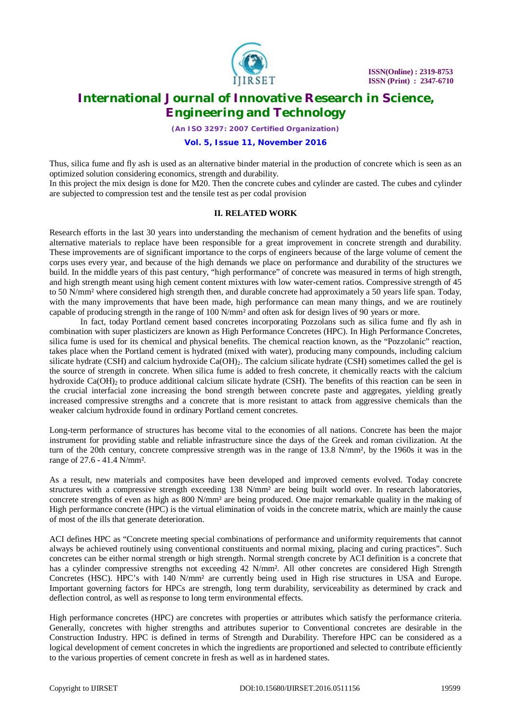

*(An ISO 3297: 2007 Certified Organization)*

#### **Vol. 5, Issue 11, November 2016**

Thus, silica fume and fly ash is used as an alternative binder material in the production of concrete which is seen as an optimized solution considering economics, strength and durability.

In this project the mix design is done for M20. Then the concrete cubes and cylinder are casted. The cubes and cylinder are subjected to compression test and the tensile test as per codal provision

# **II. RELATED WORK**

Research efforts in the last 30 years into understanding the mechanism of cement hydration and the benefits of using alternative materials to replace have been responsible for a great improvement in concrete strength and durability. These improvements are of significant importance to the corps of engineers because of the large volume of cement the corps uses every year, and because of the high demands we place on performance and durability of the structures we build. In the middle years of this past century, "high performance" of concrete was measured in terms of high strength, and high strength meant using high cement content mixtures with low water-cement ratios. Compressive strength of 45 to 50 N/mm² where considered high strength then, and durable concrete had approximately a 50 years life span. Today, with the many improvements that have been made, high performance can mean many things, and we are routinely capable of producing strength in the range of 100 N/mm² and often ask for design lives of 90 years or more.

In fact, today Portland cement based concretes incorporating Pozzolans such as silica fume and fly ash in combination with super plasticizers are known as High Performance Concretes (HPC). In High Performance Concretes, silica fume is used for its chemical and physical benefits. The chemical reaction known, as the "Pozzolanic" reaction, takes place when the Portland cement is hydrated (mixed with water), producing many compounds, including calcium silicate hydrate (CSH) and calcium hydroxide  $Ca(OH)$ . The calcium silicate hydrate (CSH) sometimes called the gel is the source of strength in concrete. When silica fume is added to fresh concrete, it chemically reacts with the calcium hydroxide  $Ca(OH)_2$  to produce additional calcium silicate hydrate (CSH). The benefits of this reaction can be seen in the crucial interfacial zone increasing the bond strength between concrete paste and aggregates, yielding greatly increased compressive strengths and a concrete that is more resistant to attack from aggressive chemicals than the weaker calcium hydroxide found in ordinary Portland cement concretes.

Long-term performance of structures has become vital to the economies of all nations. Concrete has been the major instrument for providing stable and reliable infrastructure since the days of the Greek and roman civilization. At the turn of the 20th century, concrete compressive strength was in the range of 13.8 N/mm², by the 1960s it was in the range of 27.6 - 41.4 N/mm².

As a result, new materials and composites have been developed and improved cements evolved. Today concrete structures with a compressive strength exceeding 138 N/mm² are being built world over. In research laboratories, concrete strengths of even as high as 800 N/mm² are being produced. One major remarkable quality in the making of High performance concrete (HPC) is the virtual elimination of voids in the concrete matrix, which are mainly the cause of most of the ills that generate deterioration.

ACI defines HPC as "Concrete meeting special combinations of performance and uniformity requirements that cannot always be achieved routinely using conventional constituents and normal mixing, placing and curing practices". Such concretes can be either normal strength or high strength. Normal strength concrete by ACI definition is a concrete that has a cylinder compressive strengths not exceeding 42 N/mm². All other concretes are considered High Strength Concretes (HSC). HPC's with 140 N/mm² are currently being used in High rise structures in USA and Europe. Important governing factors for HPCs are strength, long term durability, serviceability as determined by crack and deflection control, as well as response to long term environmental effects.

High performance concretes (HPC) are concretes with properties or attributes which satisfy the performance criteria. Generally, concretes with higher strengths and attributes superior to Conventional concretes are desirable in the Construction Industry. HPC is defined in terms of Strength and Durability. Therefore HPC can be considered as a logical development of cement concretes in which the ingredients are proportioned and selected to contribute efficiently to the various properties of cement concrete in fresh as well as in hardened states.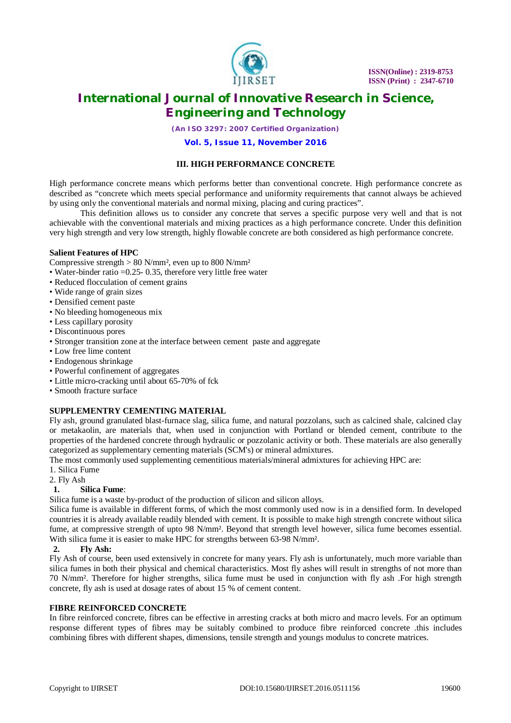

*(An ISO 3297: 2007 Certified Organization)*

# **Vol. 5, Issue 11, November 2016**

# **III. HIGH PERFORMANCE CONCRETE**

High performance concrete means which performs better than conventional concrete. High performance concrete as described as "concrete which meets special performance and uniformity requirements that cannot always be achieved by using only the conventional materials and normal mixing, placing and curing practices".

This definition allows us to consider any concrete that serves a specific purpose very well and that is not achievable with the conventional materials and mixing practices as a high performance concrete. Under this definition very high strength and very low strength, highly flowable concrete are both considered as high performance concrete.

# **Salient Features of HPC**

Compressive strength  $> 80$  N/mm<sup>2</sup>, even up to 800 N/mm<sup>2</sup>

- Water-binder ratio = 0.25 0.35, therefore very little free water
- Reduced flocculation of cement grains
- Wide range of grain sizes
- Densified cement paste
- No bleeding homogeneous mix
- Less capillary porosity
- Discontinuous pores
- Stronger transition zone at the interface between cement paste and aggregate
- Low free lime content
- Endogenous shrinkage
- Powerful confinement of aggregates
- Little micro-cracking until about 65-70% of fck
- Smooth fracture surface

# **SUPPLEMENTRY CEMENTING MATERIAL**

Fly ash, ground granulated blast-furnace slag, silica fume, and natural pozzolans, such as calcined shale, calcined clay or metakaolin, are materials that, when used in conjunction with Portland or blended cement, contribute to the properties of the hardened concrete through hydraulic or pozzolanic activity or both. These materials are also generally categorized as supplementary cementing materials (SCM's) or mineral admixtures.

The most commonly used supplementing cementitious materials/mineral admixtures for achieving HPC are:

- 1. Silica Fume
- 2. Fly Ash

# **1. Silica Fume**:

Silica fume is a waste by-product of the production of silicon and silicon alloys.

Silica fume is available in different forms, of which the most commonly used now is in a densified form. In developed countries it is already available readily blended with cement. It is possible to make high strength concrete without silica fume, at compressive strength of upto 98 N/mm<sup>2</sup>. Beyond that strength level however, silica fume becomes essential. With silica fume it is easier to make HPC for strengths between 63-98 N/mm².

# **2. Fly Ash:**

Fly Ash of course, been used extensively in concrete for many years. Fly ash is unfortunately, much more variable than silica fumes in both their physical and chemical characteristics. Most fly ashes will result in strengths of not more than 70 N/mm². Therefore for higher strengths, silica fume must be used in conjunction with fly ash .For high strength concrete, fly ash is used at dosage rates of about 15 % of cement content.

# **FIBRE REINFORCED CONCRETE**

In fibre reinforced concrete, fibres can be effective in arresting cracks at both micro and macro levels. For an optimum response different types of fibres may be suitably combined to produce fibre reinforced concrete .this includes combining fibres with different shapes, dimensions, tensile strength and youngs modulus to concrete matrices.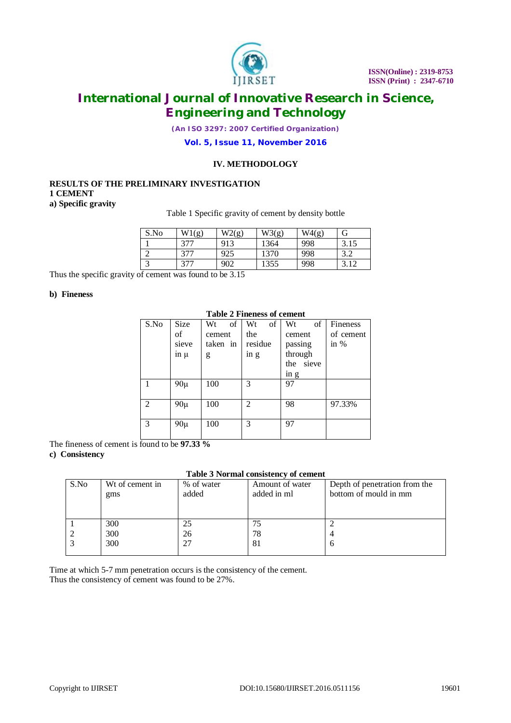

*(An ISO 3297: 2007 Certified Organization)*

# **Vol. 5, Issue 11, November 2016**

#### **IV. METHODOLOGY**

# **RESULTS OF THE PRELIMINARY INVESTIGATION 1 CEMENT a) Specific gravity**

#### Table 1 Specific gravity of cement by density bottle

| S.No       | W1(g) | W2(g) | W3(g) | W4(g) | G    |
|------------|-------|-------|-------|-------|------|
|            | 377   | 913   | 1364  | 998   | 3.15 |
| ⌒          | 377   | 925   | 1370  | 998   | 3.2  |
| $\sqrt{2}$ | 377   | 902   | 1355  | 998   | 3.12 |

Thus the specific gravity of cement was found to be 3.15

#### **b) Fineness**

|    |       |       | <b>Table 2 Fineness of cement</b> |  |
|----|-------|-------|-----------------------------------|--|
| Wt | of Wt | of Wt |                                   |  |

| S.No           | Size      | of<br>Wt | of<br>Wt       | of<br>Wt                      | Fineness  |
|----------------|-----------|----------|----------------|-------------------------------|-----------|
|                | of        | cement   | the            | cement                        | of cement |
|                | sieve     | taken in | residue        | passing                       | in $%$    |
|                | $\ln \mu$ | g        | in g           | through                       |           |
|                |           |          |                | the<br>sieve                  |           |
|                |           |          |                | $\overline{m}$ $\overline{g}$ |           |
|                | $90\mu$   | 100      | 3              | 97                            |           |
|                |           |          |                |                               |           |
| $\mathfrak{D}$ | $90\mu$   | 100      | $\mathfrak{D}$ | 98                            | 97.33%    |
|                |           |          |                |                               |           |
| 3              | $90\mu$   | 100      | 3              | 97                            |           |
|                |           |          |                |                               |           |

The fineness of cement is found to be **97.33 %**

#### **c) Consistency**

# **Table 3 Normal consistency of cement**

| S.No | Wt of cement in<br>gms | % of water<br>added | Amount of water<br>added in ml | Depth of penetration from the<br>bottom of mould in mm |
|------|------------------------|---------------------|--------------------------------|--------------------------------------------------------|
|      |                        |                     |                                |                                                        |
|      | 300                    | 25                  | 75                             |                                                        |
|      | 300                    | 26                  | 78                             | 4                                                      |
|      | 300                    |                     | 81                             | <sub>0</sub>                                           |
|      |                        |                     |                                |                                                        |

Time at which 5-7 mm penetration occurs is the consistency of the cement. Thus the consistency of cement was found to be 27%.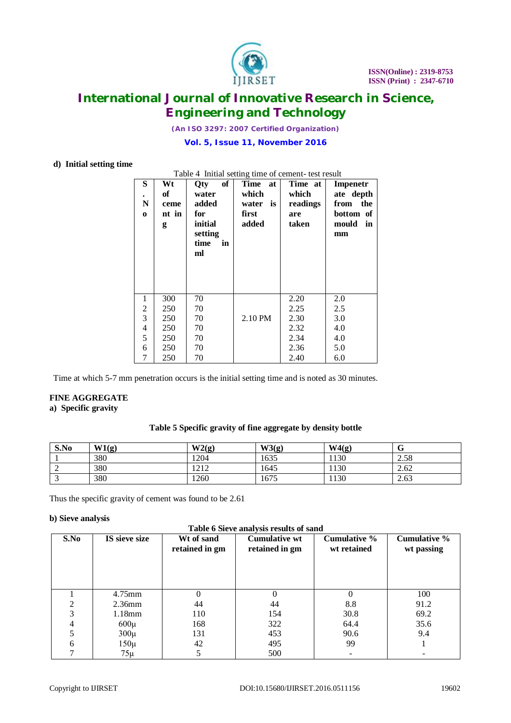

*(An ISO 3297: 2007 Certified Organization)*

#### **Vol. 5, Issue 11, November 2016**

# **d) Initial setting time**

|                         | Table 4 Initial setting time of cement- test result |            |             |          |             |  |  |  |
|-------------------------|-----------------------------------------------------|------------|-------------|----------|-------------|--|--|--|
| S                       | Wt                                                  | of<br>Qty  | Time at     | Time at  | Impenetr    |  |  |  |
| $\bullet$               | of                                                  | water      | which       | which    | ate depth   |  |  |  |
| N                       | ceme                                                | added      | water<br>is | readings | from the    |  |  |  |
| $\bf{0}$                | nt in                                               | for        | first       | are      | bottom of   |  |  |  |
|                         | g                                                   | initial    | added       | taken    | mould<br>in |  |  |  |
|                         |                                                     | setting    |             |          | mm          |  |  |  |
|                         |                                                     | time<br>in |             |          |             |  |  |  |
|                         |                                                     | ml         |             |          |             |  |  |  |
|                         |                                                     |            |             |          |             |  |  |  |
|                         |                                                     |            |             |          |             |  |  |  |
|                         |                                                     |            |             |          |             |  |  |  |
| 1                       | 300                                                 | 70         |             | 2.20     | 2.0         |  |  |  |
| $\frac{2}{3}$           | 250                                                 | 70         |             | 2.25     | 2.5         |  |  |  |
|                         | 250                                                 | 70         | 2.10 PM     | 2.30     | 3.0         |  |  |  |
| $\overline{\mathbf{4}}$ | 250                                                 | 70         |             | 2.32     | 4.0         |  |  |  |
| 5                       | 250                                                 | 70         |             | 2.34     | 4.0         |  |  |  |
| 6                       | 250                                                 | 70         |             | 2.36     | 5.0         |  |  |  |
| 7                       | 250                                                 | 70         |             | 2.40     | 6.0         |  |  |  |

Time at which 5-7 mm penetration occurs is the initial setting time and is noted as 30 minutes.

#### **FINE AGGREGATE a) Specific gravity**

# **Table 5 Specific gravity of fine aggregate by density bottle**

| S.No | W1(g) | W2(g) | W3(g) | W4(g) | v    |
|------|-------|-------|-------|-------|------|
|      | 380   | 1204  | 1635  | 1130  | 2.58 |
| ∸    | 380   | 1212  | 1645  | 1130  | 2.62 |
|      | 380   | 1260  | 1675  | 1130  | 2.63 |

Thus the specific gravity of cement was found to be 2.61

#### **b) Sieve analysis**

|                       | Table 6 Sieve analysis results of sand |               |
|-----------------------|----------------------------------------|---------------|
| $W^{\dagger}$ of cond | Cumulative wt                          | $C_{\rm irr}$ |

| S.No | IS sieve size | Wt of sand<br>retained in gm | <b>Cumulative wt</b><br>retained in gm | <b>Cumulative %</b><br>wt retained | <b>Cumulative %</b><br>wt passing |
|------|---------------|------------------------------|----------------------------------------|------------------------------------|-----------------------------------|
|      | 4.75mm        |                              |                                        |                                    | 100                               |
|      | $2.36$ mm     | 44                           | 44                                     | 8.8                                | 91.2                              |
| 3    | 1.18mm        | 110                          | 154                                    | 30.8                               | 69.2                              |
| 4    | $600\mu$      | 168                          | 322                                    | 64.4                               | 35.6                              |
|      | $300\mu$      | 131                          | 453                                    | 90.6                               | 9.4                               |
| 6    | $150\mu$      | 42                           | 495                                    | 99                                 |                                   |
|      | $75\mu$       |                              | 500                                    |                                    |                                   |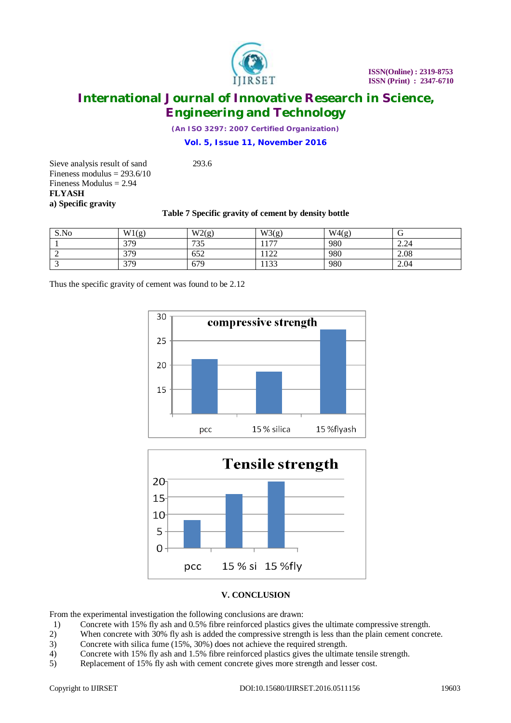

*(An ISO 3297: 2007 Certified Organization)*

# **Vol. 5, Issue 11, November 2016**

Sieve analysis result of sand 293.6 Fineness modulus  $= 293.6/10$ Fineness Modulus = 2.94 **FLYASH a) Specific gravity**

# **Table 7 Specific gravity of cement by density bottle**

| S.No | W1(g) | W2(g) | W3(g) | W4(g) | ◡    |
|------|-------|-------|-------|-------|------|
|      | 379   | 735   | 177   | 980   | 2.24 |
|      | 379   | 652   | 122   | 980   | 2.08 |
| . .  | 379   | 679   | 1133  | 980   | 2.04 |

Thus the specific gravity of cement was found to be 2.12





# **V. CONCLUSION**

From the experimental investigation the following conclusions are drawn:

- 1) Concrete with 15% fly ash and 0.5% fibre reinforced plastics gives the ultimate compressive strength.
- 2) When concrete with 30% fly ash is added the compressive strength is less than the plain cement concrete.
- 3) Concrete with silica fume (15%, 30%) does not achieve the required strength.<br>4) Concrete with 15% fly ash and 1.5% fibre reinforced plastics gives the ultimat
- 4) Concrete with 15% fly ash and 1.5% fibre reinforced plastics gives the ultimate tensile strength.<br>5) Replacement of 15% fly ash with cement concrete gives more strength and lesser cost.
- Replacement of 15% fly ash with cement concrete gives more strength and lesser cost.